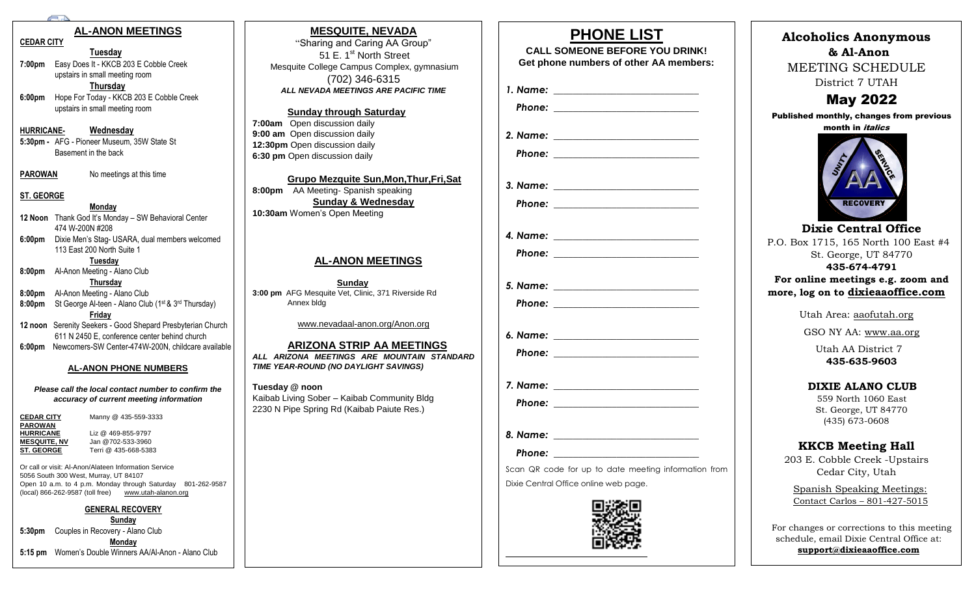#### **AL-ANON MEETINGS**

#### March **CEDAR CITY**

 $T$ uesday **7:00pm** Easy Does It - KKCB 203 E Cobble Creek upstairs in small meeting room **Thursday** 

**6:00pm** Hope For Today - KKCB 203 E Cobble Creek upstairs in small meeting room

#### **HURRICANE- Wednesday**

**5:30pm -** AFG - Pioneer Museum, 35W State St Basement in the back

**PAROWAN** No meetings at this time

#### **ST. GEORGE**

#### **Monday 12 Noon** Thank God It's Monday – SW Behavioral Center 474 W-200N #208 **6:00pm** Dixie Men's Stag- USARA, dual members welcomed

113 East 200 North Suite 1

**Tuesday**

**8:00pm** Al-Anon Meeting - Alano Club **Thursday**

**8:00pm** Al-Anon Meeting - Alano Club **8:00pm** St George Al-teen - Alano Club (1st & 3 rd Thursday)

**Friday**

**12 noon** Serenity Seekers - Good Shepard Presbyterian Church 611 N 2450 E, conference center behind church **6:00pm** Newcomers-SW Center-474W-200N, childcare available

#### **AL-ANON PHONE NUMBERS**

*Please call the local contact number to confirm the accuracy of current meeting information*

| <b>CEDAR CITY</b>   | Manny @ 435-559-3333     |
|---------------------|--------------------------|
| <b>PAROWAN</b>      |                          |
| <b>HURRICANE</b>    | Liz @ $469 - 855 - 9797$ |
| <b>MESQUITE, NV</b> | Jan @702-533-3960        |
| <b>ST. GEORGE</b>   | Terri @ 435-668-5383     |
|                     |                          |

Or call or visit: Al-Anon/Alateen Information Service 5056 South 300 West, Murray, UT 84107 Open 10 a.m. to 4 p.m. Monday through Saturday 801-262-9587 (local) 866-262-9587 (toll free) [www.utah-alanon.org](http://www.utah-alanon.org/)

#### **GENERAL RECOVERY**

**Sunday 5:30pm** Couples in Recovery - Alano Club **Monday 5:15 pm** Women's Double Winners AA/Al-Anon - Alano Club

#### **MESQUITE, NEVADA**

"Sharing and Caring AA Group" 51 E. 1<sup>st</sup> North Street Mesquite College Campus Complex, gymnasium (702) 346-6315 *ALL NEVADA MEETINGS ARE PACIFIC TIME*

#### **Sunday through Saturday**

**7:00am** Open discussion daily **9:00 am** Open discussion daily **12:30pm** Open discussion daily **6:30 pm** Open discussion daily

**Grupo Mezquite Sun,Mon,Thur,Fri,Sat 8:00pm** AA Meeting- Spanish speaking **Sunday & Wednesday 10:30am** Women's Open Meeting

# **AL-ANON MEETINGS**

 **Sunday 3:00 pm** AFG Mesquite Vet, Clinic, 371 Riverside Rd Annex bldg

[www.nevadaal-anon.org/Anon.org](http://www.nevadaal-anon.org/Anon.org)

**ARIZONA STRIP AA MEETINGS** *ALL ARIZONA MEETINGS ARE MOUNTAIN STANDARD TIME YEAR-ROUND (NO DAYLIGHT SAVINGS)*

**Tuesday @ noon** Kaibab Living Sober – Kaibab Community Bldg

2230 N Pipe Spring Rd (Kaibab Paiute Res.)

| . .<br><b>CALL SOMEONE BEFORE YOU DRINK!</b>         |
|------------------------------------------------------|
| Get phone numbers of other AA members:               |
|                                                      |
|                                                      |
|                                                      |
|                                                      |
|                                                      |
|                                                      |
|                                                      |
|                                                      |
|                                                      |
|                                                      |
|                                                      |
|                                                      |
|                                                      |
|                                                      |
|                                                      |
|                                                      |
|                                                      |
|                                                      |
|                                                      |
|                                                      |
| Scan QR code for up to date meeting information from |

Dixie Central Office online web page.

**PHONE LIST**

District 7 UTAH May 2022 month in *italics* **RECOVER Dixie Central Office**  St. George, UT 84770 **435-674-4791 more, log on to dixieaaoffice.com** Utah Area: [aaofutah.org](http://www.aaofutah.org/) GSO NY AA: [www.aa.org](http://www.aa.org/) Utah AA District 7 **435-635-9603 DIXIE ALANO CLUB** 559 North 1060 East St. George, UT 84770 (435) 673-0608 **KKCB Meeting Hall** 203 E. Cobble Creek -Upstairs Cedar City, Utah Spanish Speaking Meetings: Contact Carlos – 801-427-5015



# **Alcoholics Anonymous & Al-Anon**

MEETING SCHEDULE

Published monthly, changes from previous

P.O. Box 1715, 165 North 100 East #4 **For online meetings e.g. zoom and**